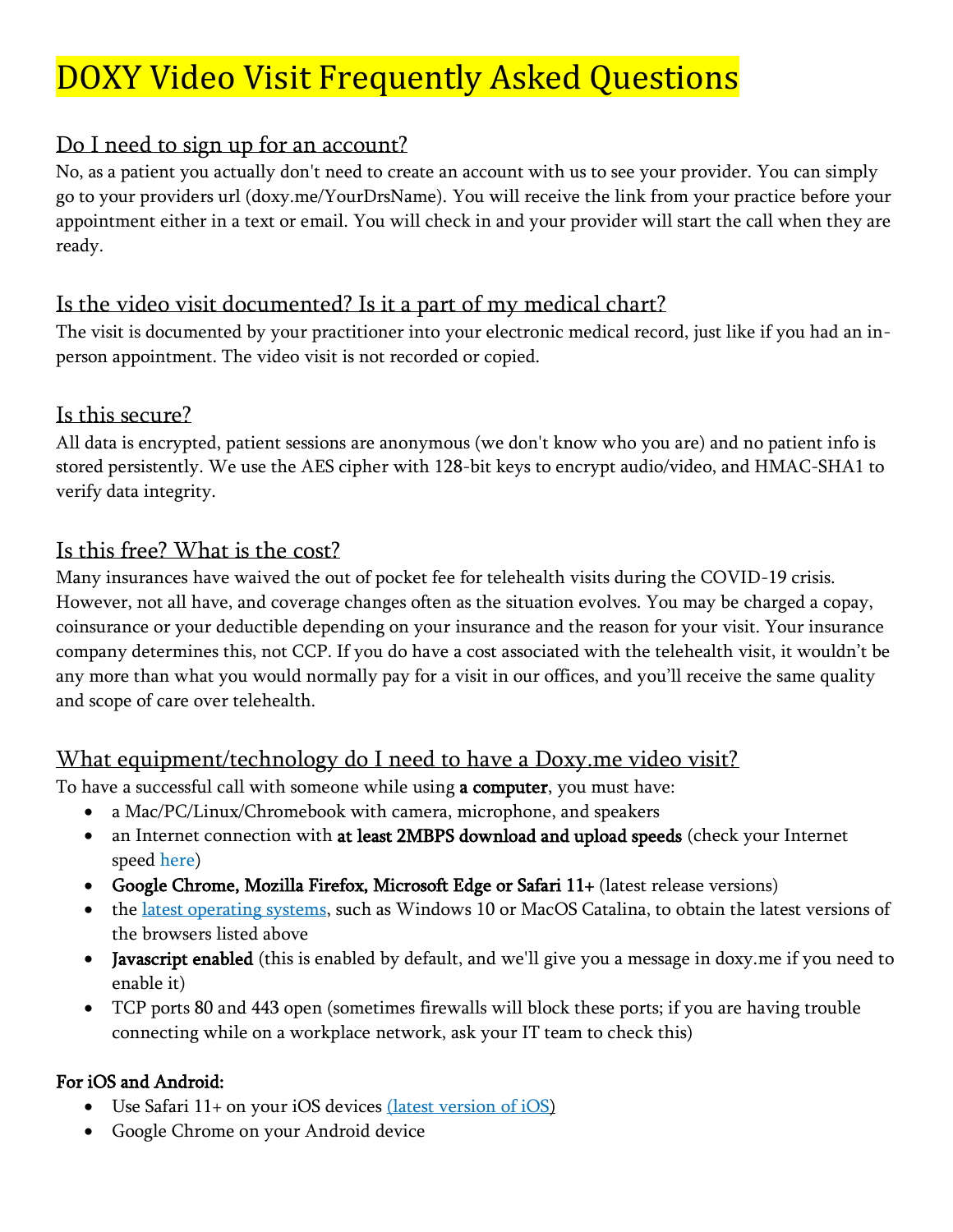# DOXY Video Visit Frequently Asked Questions

# Do I need to sign up for an account?

No, as a patient you actually don't need to create an account with us to see your provider. You can simply go to your providers url (doxy.me/YourDrsName). You will receive the link from your practice before your appointment either in a text or email. You will check in and your provider will start the call when they are ready.

# Is the video visit documented? Is it a part of my medical chart?

The visit is documented by your practitioner into your electronic medical record, just like if you had an inperson appointment. The video visit is not recorded or copied.

# Is this secure?

All data is encrypted, patient sessions are anonymous (we don't know who you are) and no patient info is stored persistently. We use the AES cipher with 128-bit keys to encrypt audio/video, and HMAC-SHA1 to verify data integrity.

# Is this free? What is the cost?

Many insurances have waived the out of pocket fee for telehealth visits during the COVID-19 crisis. However, not all have, and coverage changes often as the situation evolves. You may be charged a copay, coinsurance or your deductible depending on your insurance and the reason for your visit. Your insurance company determines this, not CCP. If you do have a cost associated with the telehealth visit, it wouldn't be any more than what you would normally pay for a visit in our offices, and you'll receive the same quality and scope of care over telehealth.

# What equipment/technology do I need to have a Doxy.me video visit?

To have a successful call with someone while using a computer, you must have:

- a Mac/PC/Linux/Chromebook with camera, microphone, and speakers
- an Internet connection with at least 2MBPS download and upload speeds (check your Internet speed [here\)](https://speed.measurementlab.net/#/)
- Google Chrome, Mozilla Firefox, Microsoft Edge or Safari 11+ (latest release versions)
- the [latest operating systems,](https://help.doxy.me/troubleshooting/how-to-update-your-operating-system) such as Windows 10 or MacOS Catalina, to obtain the latest versions of the browsers listed above
- Javascript enabled (this is enabled by default, and we'll give you a message in doxy.me if you need to enable it)
- TCP ports 80 and 443 open (sometimes firewalls will block these ports; if you are having trouble connecting while on a workplace network, ask your IT team to check this)

#### For iOS and Android:

- Use Safari 11+ on your iOS devices [\(latest version of iOS\)](https://support.apple.com/en-us/HT204204)
- Google Chrome on your Android device